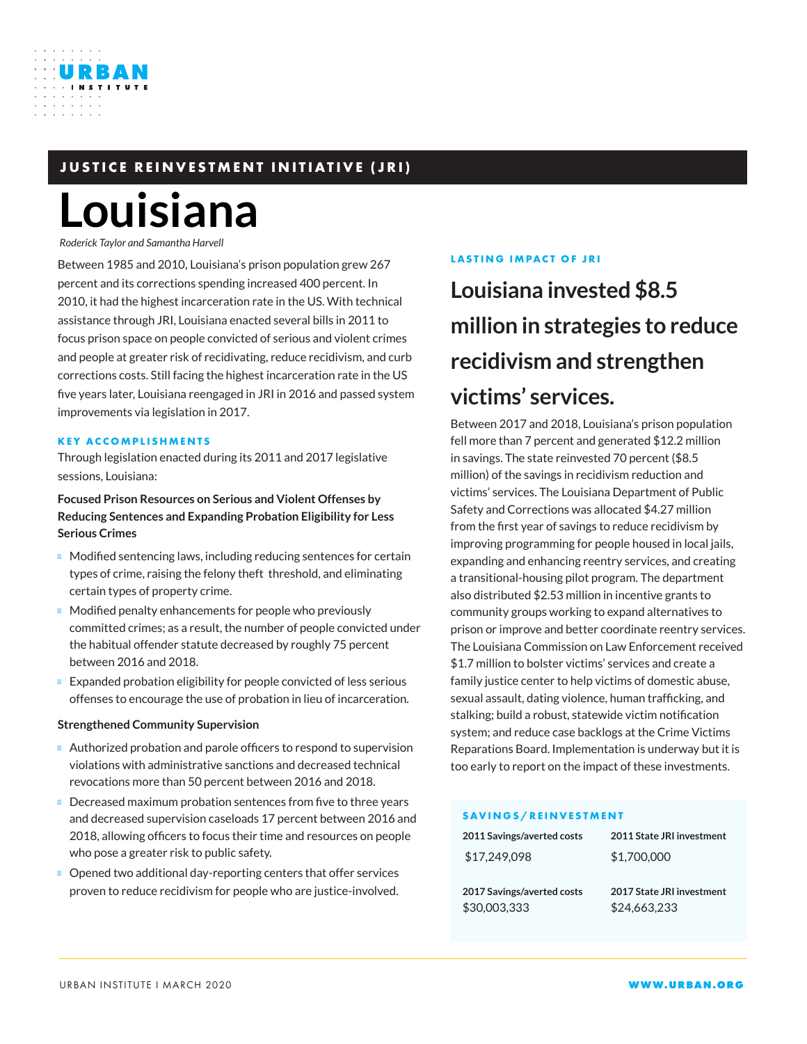# **JUSTICE REINVESTMENT INITIATIVE (JRI)**

# **Louisiana**

*Roderick Taylor and Samantha Harvell*

URBAN

Between 1985 and 2010, Louisiana's prison population grew 267 percent and its corrections spending increased 400 percent. In 2010, it had the highest incarceration rate in the US. With technical assistance through JRI, Louisiana enacted several bills in 2011 to focus prison space on people convicted of serious and violent crimes and people at greater risk of recidivating, reduce recidivism, and curb corrections costs. Still facing the highest incarceration rate in the US five years later, Louisiana reengaged in JRI in 2016 and passed system improvements via legislation in 2017.

#### **KEY ACCOMPLISHMENTS**

Through legislation enacted during its 2011 and 2017 legislative sessions, Louisiana:

**Focused Prison Resources on Serious and Violent Offenses by Reducing Sentences and Expanding Probation Eligibility for Less Serious Crimes**

Modified sentencing laws, including reducing sentences for certain types of crime, raising the felony theft threshold, and eliminating certain types of property crime.

Modified penalty enhancements for people who previously committed crimes; as a result, the number of people convicted under the habitual offender statute decreased by roughly 75 percent between 2016 and 2018.

Expanded probation eligibility for people convicted of less serious offenses to encourage the use of probation in lieu of incarceration.

#### **Strengthened Community Supervision**

Authorized probation and parole officers to respond to supervision violations with administrative sanctions and decreased technical revocations more than 50 percent between 2016 and 2018.

Decreased maximum probation sentences from five to three years and decreased supervision caseloads 17 percent between 2016 and 2018, allowing officers to focus their time and resources on people who pose a greater risk to public safety.

Opened two additional day-reporting centers that offer services proven to reduce recidivism for people who are justice-involved.

#### **LASTING IMPACT OF JRI**

# **Louisiana invested \$8.5 million in strategies to reduce recidivism and strengthen victims' services.**

Between 2017 and 2018, Louisiana's prison population fell more than 7 percent and generated \$12.2 million in savings. The state reinvested 70 percent (\$8.5 million) of the savings in recidivism reduction and victims' services. The Louisiana Department of Public Safety and Corrections was allocated \$4.27 million from the first year of savings to reduce recidivism by improving programming for people housed in local jails, expanding and enhancing reentry services, and creating a transitional-housing pilot program. The department also distributed \$2.53 million in incentive grants to community groups working to expand alternatives to prison or improve and better coordinate reentry services. The Louisiana Commission on Law Enforcement received \$1.7 million to bolster victims' services and create a family justice center to help victims of domestic abuse, sexual assault, dating violence, human trafficking, and stalking; build a robust, statewide victim notification system; and reduce case backlogs at the Crime Victims Reparations Board. Implementation is underway but it is too early to report on the impact of these investments.

#### **SAVINGS/REINVESTMENT**

| 2011 Savings/averted costs | 2011 State JRI investment |
|----------------------------|---------------------------|
| \$17,249,098               | \$1,700,000               |
|                            |                           |
| 2017 Savings/averted costs | 2017 State JRI investment |
| \$30,003,333               | \$24,663,233              |
|                            |                           |